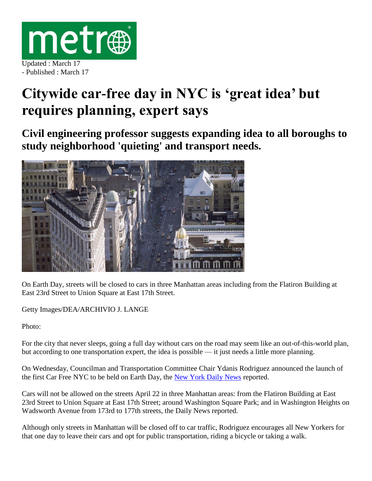

- Published : March 17

## **Citywide car-free day in NYC is 'great idea' but requires planning, expert says**

**Civil engineering professor suggests expanding idea to all boroughs to study neighborhood 'quieting' and transport needs.**



On Earth Day, streets will be closed to cars in three Manhattan areas including from the Flatiron Building at East 23rd Street to Union Square at East 17th Street.

Getty Images/DEA/ARCHIVIO J. LANGE

Photo:

For the city that never sleeps, going a full day without cars on the road may seem like an out-of-this-world plan, but according to one transportation expert, the idea is possible — it just needs a little more planning.

On Wednesday, Councilman and Transportation Committee Chair Ydanis Rodriguez announced the launch of the first Car Free NYC to be held on Earth Day, the [New York Daily News](http://www.nydailynews.com/new-york/manhattan/chunk-broadway-car-free-earth-day-article-1.2566556) reported.

Cars will not be allowed on the streets April 22 in three Manhattan areas: from the Flatiron Building at East 23rd Street to Union Square at East 17th Street; around Washington Square Park; and in Washington Heights on Wadsworth Avenue from 173rd to 177th streets, the Daily News reported.

Although only streets in Manhattan will be closed off to car traffic, Rodriguez encourages all New Yorkers for that one day to leave their cars and opt for public transportation, riding a bicycle or taking a walk.